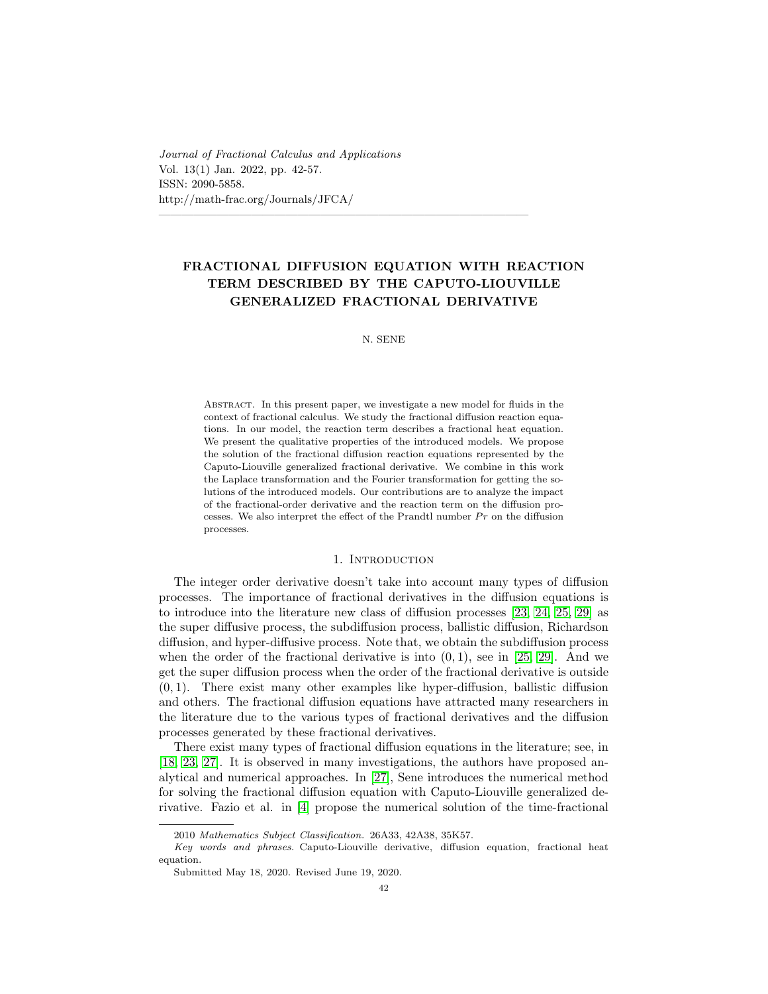Journal of Fractional Calculus and Applications Vol. 13(1) Jan. 2022, pp. 42-57. ISSN: 2090-5858. http://math-frac.org/Journals/JFCA/

# FRACTIONAL DIFFUSION EQUATION WITH REACTION TERM DESCRIBED BY THE CAPUTO-LIOUVILLE GENERALIZED FRACTIONAL DERIVATIVE

 $\overline{\phantom{a}}$  , and the contract of the contract of the contract of the contract of the contract of the contract of the contract of the contract of the contract of the contract of the contract of the contract of the contrac

### N. SENE

Abstract. In this present paper, we investigate a new model for fluids in the context of fractional calculus. We study the fractional diffusion reaction equations. In our model, the reaction term describes a fractional heat equation. We present the qualitative properties of the introduced models. We propose the solution of the fractional diffusion reaction equations represented by the Caputo-Liouville generalized fractional derivative. We combine in this work the Laplace transformation and the Fourier transformation for getting the solutions of the introduced models. Our contributions are to analyze the impact of the fractional-order derivative and the reaction term on the diffusion processes. We also interpret the effect of the Prandtl number  $Pr$  on the diffusion processes.

### 1. INTRODUCTION

The integer order derivative doesn't take into account many types of diffusion processes. The importance of fractional derivatives in the diffusion equations is to introduce into the literature new class of diffusion processes [\[23,](#page-15-0) [24,](#page-14-0) [25,](#page-15-1) [29\]](#page-15-2) as the super diffusive process, the subdiffusion process, ballistic diffusion, Richardson diffusion, and hyper-diffusive process. Note that, we obtain the subdiffusion process when the order of the fractional derivative is into  $(0, 1)$ , see in [\[25,](#page-15-1) [29\]](#page-15-2). And we get the super diffusion process when the order of the fractional derivative is outside  $(0, 1)$ . There exist many other examples like hyper-diffusion, ballistic diffusion and others. The fractional diffusion equations have attracted many researchers in the literature due to the various types of fractional derivatives and the diffusion processes generated by these fractional derivatives.

There exist many types of fractional diffusion equations in the literature; see, in [\[18,](#page-14-1) [23,](#page-15-0) [27\]](#page-15-3). It is observed in many investigations, the authors have proposed analytical and numerical approaches. In [\[27\]](#page-15-3), Sene introduces the numerical method for solving the fractional diffusion equation with Caputo-Liouville generalized derivative. Fazio et al. in [\[4\]](#page-14-2) propose the numerical solution of the time-fractional

<sup>2010</sup> Mathematics Subject Classification. 26A33, 42A38, 35K57.

Key words and phrases. Caputo-Liouville derivative, diffusion equation, fractional heat equation.

Submitted May 18, 2020. Revised June 19, 2020.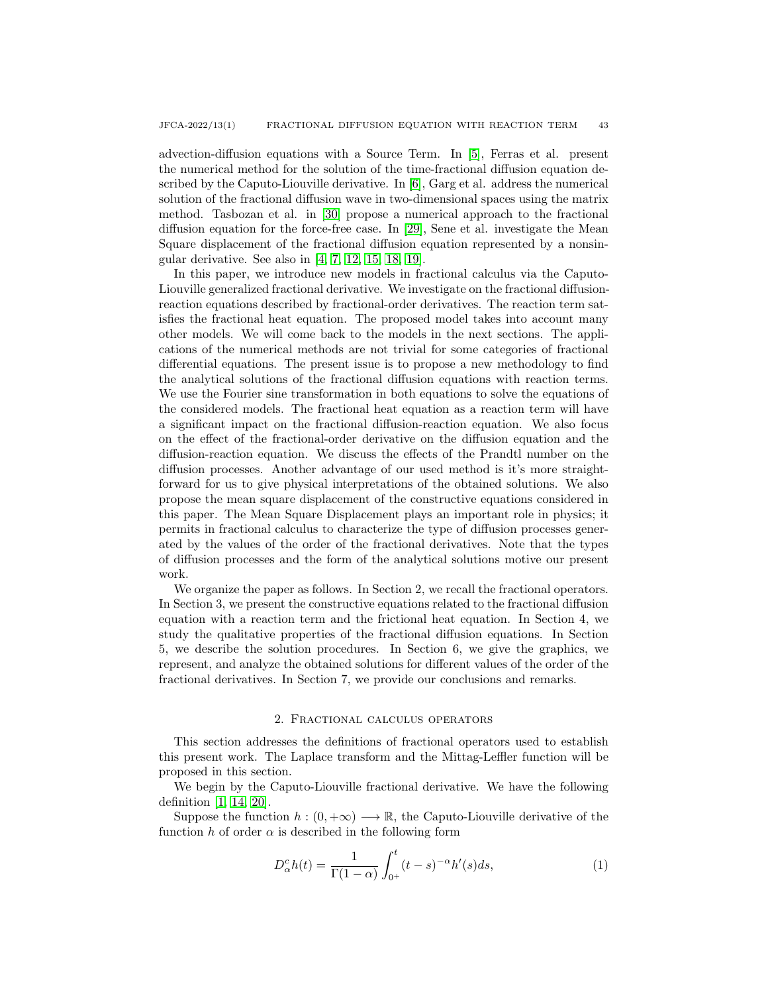advection-diffusion equations with a Source Term. In [\[5\]](#page-14-3), Ferras et al. present the numerical method for the solution of the time-fractional diffusion equation described by the Caputo-Liouville derivative. In [\[6\]](#page-14-4), Garg et al. address the numerical solution of the fractional diffusion wave in two-dimensional spaces using the matrix method. Tasbozan et al. in [\[30\]](#page-15-4) propose a numerical approach to the fractional diffusion equation for the force-free case. In [\[29\]](#page-15-2), Sene et al. investigate the Mean Square displacement of the fractional diffusion equation represented by a nonsingular derivative. See also in [\[4,](#page-14-2) [7,](#page-14-5) [12,](#page-14-6) [15,](#page-14-7) [18,](#page-14-1) [19\]](#page-14-8).

In this paper, we introduce new models in fractional calculus via the Caputo-Liouville generalized fractional derivative. We investigate on the fractional diffusionreaction equations described by fractional-order derivatives. The reaction term satisfies the fractional heat equation. The proposed model takes into account many other models. We will come back to the models in the next sections. The applications of the numerical methods are not trivial for some categories of fractional differential equations. The present issue is to propose a new methodology to find the analytical solutions of the fractional diffusion equations with reaction terms. We use the Fourier sine transformation in both equations to solve the equations of the considered models. The fractional heat equation as a reaction term will have a significant impact on the fractional diffusion-reaction equation. We also focus on the effect of the fractional-order derivative on the diffusion equation and the diffusion-reaction equation. We discuss the effects of the Prandtl number on the diffusion processes. Another advantage of our used method is it's more straightforward for us to give physical interpretations of the obtained solutions. We also propose the mean square displacement of the constructive equations considered in this paper. The Mean Square Displacement plays an important role in physics; it permits in fractional calculus to characterize the type of diffusion processes generated by the values of the order of the fractional derivatives. Note that the types of diffusion processes and the form of the analytical solutions motive our present work.

We organize the paper as follows. In Section 2, we recall the fractional operators. In Section 3, we present the constructive equations related to the fractional diffusion equation with a reaction term and the frictional heat equation. In Section 4, we study the qualitative properties of the fractional diffusion equations. In Section 5, we describe the solution procedures. In Section 6, we give the graphics, we represent, and analyze the obtained solutions for different values of the order of the fractional derivatives. In Section 7, we provide our conclusions and remarks.

#### 2. Fractional calculus operators

This section addresses the definitions of fractional operators used to establish this present work. The Laplace transform and the Mittag-Leffler function will be proposed in this section.

We begin by the Caputo-Liouville fractional derivative. We have the following definition [\[1,](#page-14-9) [14,](#page-14-10) [20\]](#page-14-11).

Suppose the function  $h:(0,+\infty) \longrightarrow \mathbb{R}$ , the Caputo-Liouville derivative of the function h of order  $\alpha$  is described in the following form

$$
D_{\alpha}^{c}h(t) = \frac{1}{\Gamma(1-\alpha)} \int_{0^{+}}^{t} (t-s)^{-\alpha} h'(s) ds,
$$
\n(1)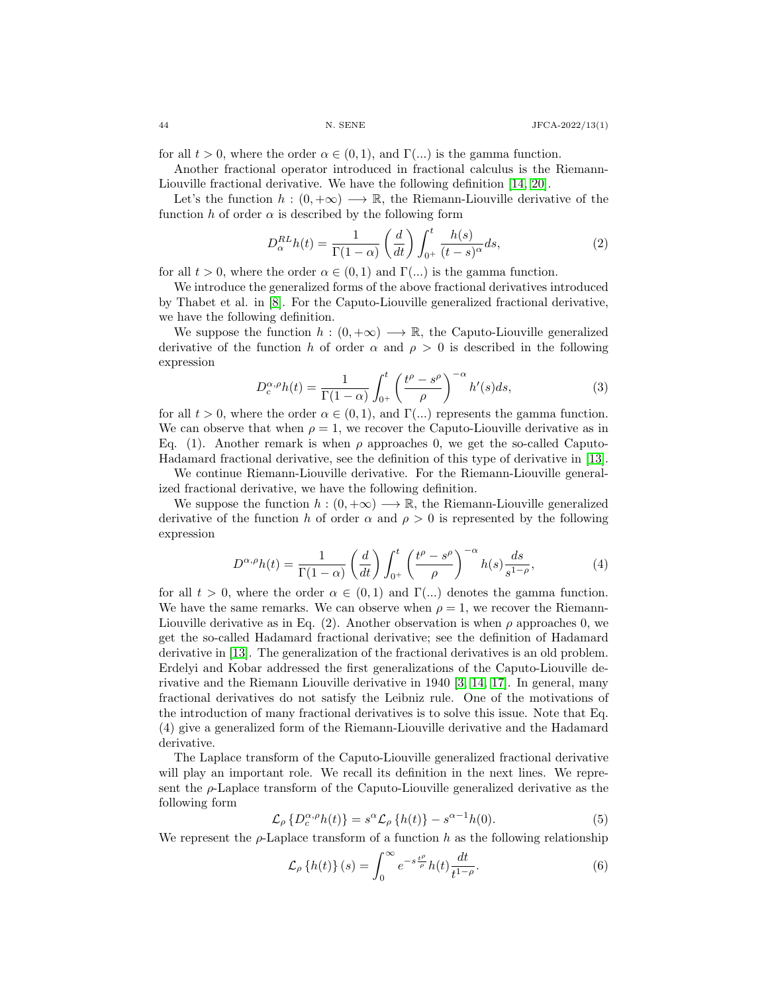for all  $t > 0$ , where the order  $\alpha \in (0, 1)$ , and  $\Gamma(\dots)$  is the gamma function.

Another fractional operator introduced in fractional calculus is the Riemann-Liouville fractional derivative. We have the following definition [\[14,](#page-14-10) [20\]](#page-14-11).

Let's the function  $h:(0,+\infty) \longrightarrow \mathbb{R}$ , the Riemann-Liouville derivative of the function h of order  $\alpha$  is described by the following form

$$
D_{\alpha}^{RL}h(t) = \frac{1}{\Gamma(1-\alpha)} \left(\frac{d}{dt}\right) \int_{0^+}^t \frac{h(s)}{(t-s)^{\alpha}} ds,\tag{2}
$$

for all  $t > 0$ , where the order  $\alpha \in (0,1)$  and  $\Gamma(\ldots)$  is the gamma function.

We introduce the generalized forms of the above fractional derivatives introduced by Thabet et al. in [\[8\]](#page-14-12). For the Caputo-Liouville generalized fractional derivative, we have the following definition.

We suppose the function  $h:(0,+\infty) \longrightarrow \mathbb{R}$ , the Caputo-Liouville generalized derivative of the function h of order  $\alpha$  and  $\rho > 0$  is described in the following expression

$$
D_c^{\alpha,\rho}h(t) = \frac{1}{\Gamma(1-\alpha)} \int_{0^+}^t \left(\frac{t^{\rho} - s^{\rho}}{\rho}\right)^{-\alpha} h'(s)ds,\tag{3}
$$

for all  $t > 0$ , where the order  $\alpha \in (0, 1)$ , and  $\Gamma(\ldots)$  represents the gamma function. We can observe that when  $\rho = 1$ , we recover the Caputo-Liouville derivative as in Eq. (1). Another remark is when  $\rho$  approaches 0, we get the so-called Caputo-Hadamard fractional derivative, see the definition of this type of derivative in [\[13\]](#page-14-13).

We continue Riemann-Liouville derivative. For the Riemann-Liouville generalized fractional derivative, we have the following definition.

We suppose the function  $h : (0, +\infty) \longrightarrow \mathbb{R}$ , the Riemann-Liouville generalized derivative of the function h of order  $\alpha$  and  $\rho > 0$  is represented by the following expression

$$
D^{\alpha,\rho}h(t) = \frac{1}{\Gamma(1-\alpha)} \left(\frac{d}{dt}\right) \int_{0^+}^t \left(\frac{t^{\rho} - s^{\rho}}{\rho}\right)^{-\alpha} h(s) \frac{ds}{s^{1-\rho}},\tag{4}
$$

for all  $t > 0$ , where the order  $\alpha \in (0, 1)$  and  $\Gamma(\ldots)$  denotes the gamma function. We have the same remarks. We can observe when  $\rho = 1$ , we recover the Riemann-Liouville derivative as in Eq. (2). Another observation is when  $\rho$  approaches 0, we get the so-called Hadamard fractional derivative; see the definition of Hadamard derivative in [\[13\]](#page-14-13). The generalization of the fractional derivatives is an old problem. Erdelyi and Kobar addressed the first generalizations of the Caputo-Liouville derivative and the Riemann Liouville derivative in 1940 [\[3,](#page-14-14) [14,](#page-14-10) [17\]](#page-14-15). In general, many fractional derivatives do not satisfy the Leibniz rule. One of the motivations of the introduction of many fractional derivatives is to solve this issue. Note that Eq. (4) give a generalized form of the Riemann-Liouville derivative and the Hadamard derivative.

The Laplace transform of the Caputo-Liouville generalized fractional derivative will play an important role. We recall its definition in the next lines. We represent the  $\rho$ -Laplace transform of the Caputo-Liouville generalized derivative as the following form

$$
\mathcal{L}_{\rho} \left\{ D_c^{\alpha,\rho} h(t) \right\} = s^{\alpha} \mathcal{L}_{\rho} \left\{ h(t) \right\} - s^{\alpha - 1} h(0). \tag{5}
$$

We represent the  $\rho$ -Laplace transform of a function h as the following relationship

$$
\mathcal{L}_{\rho}\left\{h(t)\right\}(s) = \int_{0}^{\infty} e^{-s\frac{t^{\rho}}{\rho}} h(t) \frac{dt}{t^{1-\rho}}.
$$
\n(6)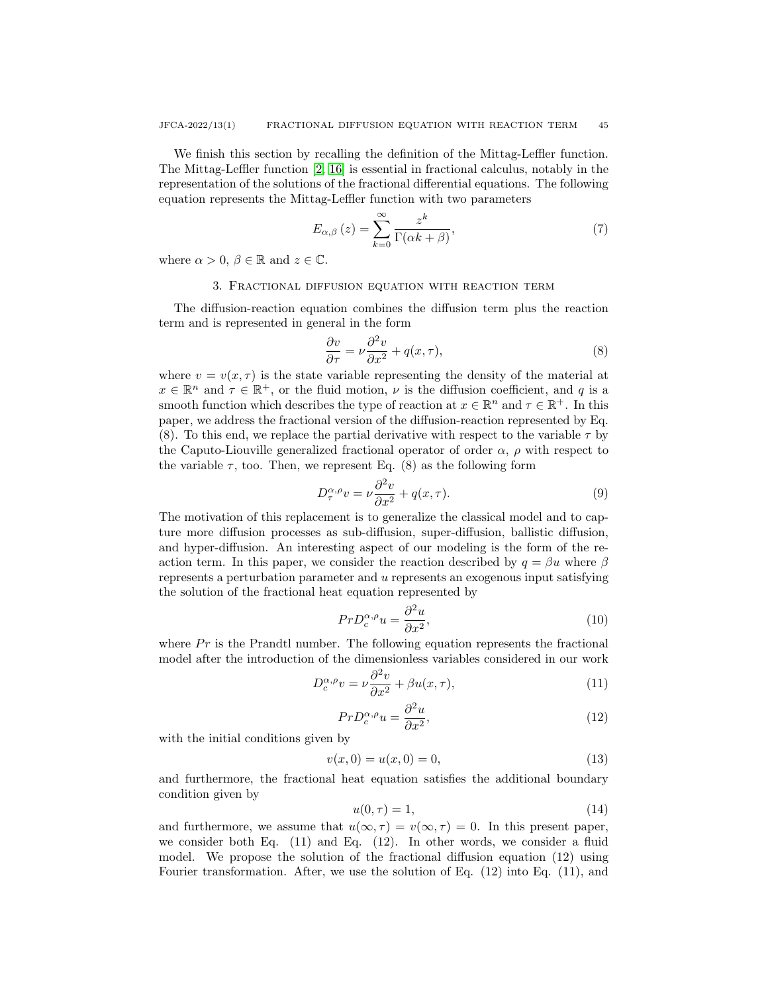We finish this section by recalling the definition of the Mittag-Leffler function. The Mittag-Leffler function [\[2,](#page-14-16) [16\]](#page-14-17) is essential in fractional calculus, notably in the representation of the solutions of the fractional differential equations. The following equation represents the Mittag-Leffler function with two parameters

$$
E_{\alpha,\beta}\left(z\right) = \sum_{k=0}^{\infty} \frac{z^k}{\Gamma(\alpha k + \beta)},\tag{7}
$$

where  $\alpha > 0, \beta \in \mathbb{R}$  and  $z \in \mathbb{C}$ .

#### 3. Fractional diffusion equation with reaction term

The diffusion-reaction equation combines the diffusion term plus the reaction term and is represented in general in the form

$$
\frac{\partial v}{\partial \tau} = \nu \frac{\partial^2 v}{\partial x^2} + q(x, \tau),\tag{8}
$$

where  $v = v(x, \tau)$  is the state variable representing the density of the material at  $x \in \mathbb{R}^n$  and  $\tau \in \mathbb{R}^+$ , or the fluid motion,  $\nu$  is the diffusion coefficient, and q is a smooth function which describes the type of reaction at  $x \in \mathbb{R}^n$  and  $\tau \in \mathbb{R}^+$ . In this paper, we address the fractional version of the diffusion-reaction represented by Eq. (8). To this end, we replace the partial derivative with respect to the variable  $\tau$  by the Caputo-Liouville generalized fractional operator of order  $\alpha$ ,  $\rho$  with respect to the variable  $\tau$ , too. Then, we represent Eq. (8) as the following form

$$
D_{\tau}^{\alpha,\rho}v = \nu \frac{\partial^2 v}{\partial x^2} + q(x,\tau). \tag{9}
$$

The motivation of this replacement is to generalize the classical model and to capture more diffusion processes as sub-diffusion, super-diffusion, ballistic diffusion, and hyper-diffusion. An interesting aspect of our modeling is the form of the reaction term. In this paper, we consider the reaction described by  $q = \beta u$  where  $\beta$ represents a perturbation parameter and u represents an exogenous input satisfying the solution of the fractional heat equation represented by

$$
PrD_c^{\alpha,\rho}u = \frac{\partial^2 u}{\partial x^2},\tag{10}
$$

where  $Pr$  is the Prandtl number. The following equation represents the fractional model after the introduction of the dimensionless variables considered in our work

$$
D_c^{\alpha,\rho}v = \nu \frac{\partial^2 v}{\partial x^2} + \beta u(x,\tau),\tag{11}
$$

$$
PrD_c^{\alpha,\rho}u = \frac{\partial^2 u}{\partial x^2},\tag{12}
$$

with the initial conditions given by

$$
v(x,0) = u(x,0) = 0,
$$
\n(13)

and furthermore, the fractional heat equation satisfies the additional boundary condition given by

$$
u(0,\tau) = 1,\tag{14}
$$

and furthermore, we assume that  $u(\infty, \tau) = v(\infty, \tau) = 0$ . In this present paper, we consider both Eq. (11) and Eq. (12). In other words, we consider a fluid model. We propose the solution of the fractional diffusion equation (12) using Fourier transformation. After, we use the solution of Eq. (12) into Eq. (11), and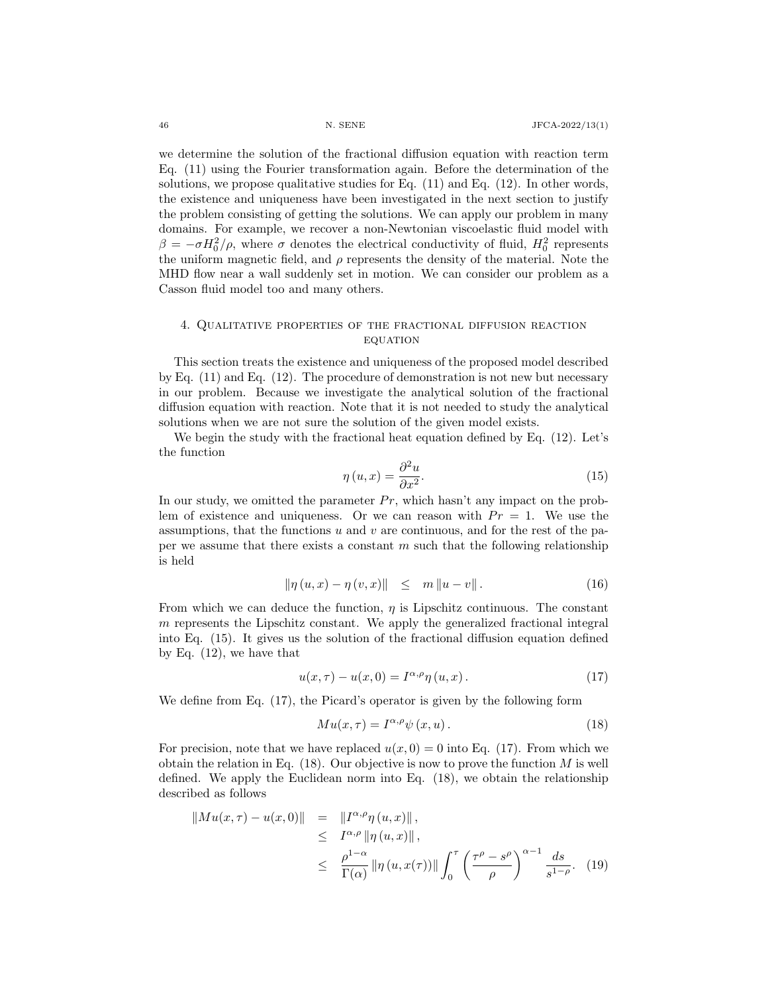we determine the solution of the fractional diffusion equation with reaction term Eq. (11) using the Fourier transformation again. Before the determination of the solutions, we propose qualitative studies for Eq. (11) and Eq. (12). In other words, the existence and uniqueness have been investigated in the next section to justify the problem consisting of getting the solutions. We can apply our problem in many domains. For example, we recover a non-Newtonian viscoelastic fluid model with  $\beta = -\sigma H_0^2/\rho$ , where  $\sigma$  denotes the electrical conductivity of fluid,  $H_0^2$  represents the uniform magnetic field, and  $\rho$  represents the density of the material. Note the MHD flow near a wall suddenly set in motion. We can consider our problem as a Casson fluid model too and many others.

### 4. Qualitative properties of the fractional diffusion reaction **EQUATION**

This section treats the existence and uniqueness of the proposed model described by Eq.  $(11)$  and Eq.  $(12)$ . The procedure of demonstration is not new but necessary in our problem. Because we investigate the analytical solution of the fractional diffusion equation with reaction. Note that it is not needed to study the analytical solutions when we are not sure the solution of the given model exists.

We begin the study with the fractional heat equation defined by Eq. (12). Let's the function

$$
\eta(u,x) = \frac{\partial^2 u}{\partial x^2}.
$$
\n(15)

In our study, we omitted the parameter  $Pr$ , which hasn't any impact on the problem of existence and uniqueness. Or we can reason with  $Pr = 1$ . We use the assumptions, that the functions  $u$  and  $v$  are continuous, and for the rest of the paper we assume that there exists a constant  $m$  such that the following relationship is held

$$
\|\eta(u,x) - \eta(v,x)\| \leq m \|u - v\|.
$$
 (16)

From which we can deduce the function,  $\eta$  is Lipschitz continuous. The constant m represents the Lipschitz constant. We apply the generalized fractional integral into Eq. (15). It gives us the solution of the fractional diffusion equation defined by Eq. (12), we have that

$$
u(x,\tau) - u(x,0) = I^{\alpha,\rho} \eta(u,x).
$$
 (17)

We define from Eq. (17), the Picard's operator is given by the following form

$$
Mu(x,\tau) = I^{\alpha,\rho}\psi(x,u). \tag{18}
$$

For precision, note that we have replaced  $u(x, 0) = 0$  into Eq. (17). From which we obtain the relation in Eq.  $(18)$ . Our objective is now to prove the function M is well defined. We apply the Euclidean norm into Eq. (18), we obtain the relationship described as follows

$$
\|Mu(x,\tau) - u(x,0)\| = \|I^{\alpha,\rho}\eta(u,x)\|,
$$
  
\n
$$
\leq I^{\alpha,\rho} \|\eta(u,x)\|,
$$
  
\n
$$
\leq \frac{\rho^{1-\alpha}}{\Gamma(\alpha)} \|\eta(u,x(\tau))\| \int_0^\tau \left(\frac{\tau^{\rho} - s^{\rho}}{\rho}\right)^{\alpha-1} \frac{ds}{s^{1-\rho}}.
$$
 (19)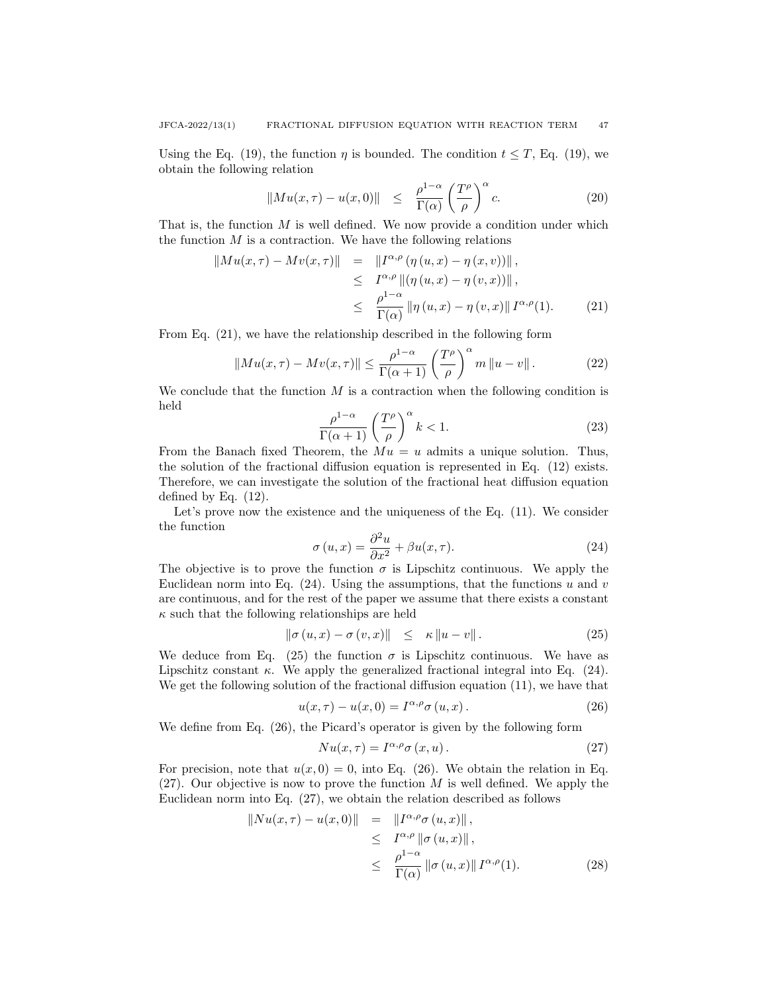Using the Eq. (19), the function  $\eta$  is bounded. The condition  $t \leq T$ , Eq. (19), we obtain the following relation

$$
||Mu(x,\tau) - u(x,0)|| \leq \frac{\rho^{1-\alpha}}{\Gamma(\alpha)} \left(\frac{T^{\rho}}{\rho}\right)^{\alpha} c.
$$
 (20)

That is, the function M is well defined. We now provide a condition under which the function  $M$  is a contraction. We have the following relations

$$
\|M u(x,\tau) - M v(x,\tau)\| = \|I^{\alpha,\rho}(\eta(u,x) - \eta(x,v))\|,
$$
  
\n
$$
\leq I^{\alpha,\rho} \|(\eta(u,x) - \eta(v,x))\|,
$$
  
\n
$$
\leq \frac{\rho^{1-\alpha}}{\Gamma(\alpha)} \|\eta(u,x) - \eta(v,x)\| I^{\alpha,\rho}(1).
$$
 (21)

From Eq. (21), we have the relationship described in the following form

$$
||Mu(x,\tau) - Mv(x,\tau)|| \le \frac{\rho^{1-\alpha}}{\Gamma(\alpha+1)} \left(\frac{T^{\rho}}{\rho}\right)^{\alpha} m ||u - v||. \tag{22}
$$

We conclude that the function  $M$  is a contraction when the following condition is held

$$
\frac{\rho^{1-\alpha}}{\Gamma(\alpha+1)} \left(\frac{T^{\rho}}{\rho}\right)^{\alpha} k < 1. \tag{23}
$$

From the Banach fixed Theorem, the  $Mu = u$  admits a unique solution. Thus, the solution of the fractional diffusion equation is represented in Eq. (12) exists. Therefore, we can investigate the solution of the fractional heat diffusion equation defined by Eq. (12).

Let's prove now the existence and the uniqueness of the Eq. (11). We consider the function

$$
\sigma(u,x) = \frac{\partial^2 u}{\partial x^2} + \beta u(x,\tau).
$$
 (24)

The objective is to prove the function  $\sigma$  is Lipschitz continuous. We apply the Euclidean norm into Eq.  $(24)$ . Using the assumptions, that the functions u and v are continuous, and for the rest of the paper we assume that there exists a constant  $\kappa$  such that the following relationships are held

$$
\|\sigma(u,x)-\sigma(v,x)\| \leq \kappa \|u-v\|.
$$
 (25)

We deduce from Eq. (25) the function  $\sigma$  is Lipschitz continuous. We have as Lipschitz constant  $\kappa$ . We apply the generalized fractional integral into Eq. (24). We get the following solution of the fractional diffusion equation (11), we have that

$$
u(x,\tau) - u(x,0) = I^{\alpha,\rho}\sigma(u,x).
$$
 (26)

We define from Eq. (26), the Picard's operator is given by the following form

$$
Nu(x,\tau) = I^{\alpha,\rho}\sigma(x,u). \tag{27}
$$

For precision, note that  $u(x, 0) = 0$ , into Eq. (26). We obtain the relation in Eq. (27). Our objective is now to prove the function  $M$  is well defined. We apply the Euclidean norm into Eq. (27), we obtain the relation described as follows

$$
\|Nu(x,\tau) - u(x,0)\| = \|I^{\alpha,\rho}\sigma(u,x)\|,
$$
  
\n
$$
\leq I^{\alpha,\rho} \|\sigma(u,x)\|,
$$
  
\n
$$
\leq \frac{\rho^{1-\alpha}}{\Gamma(\alpha)} \|\sigma(u,x)\| I^{\alpha,\rho}(1).
$$
 (28)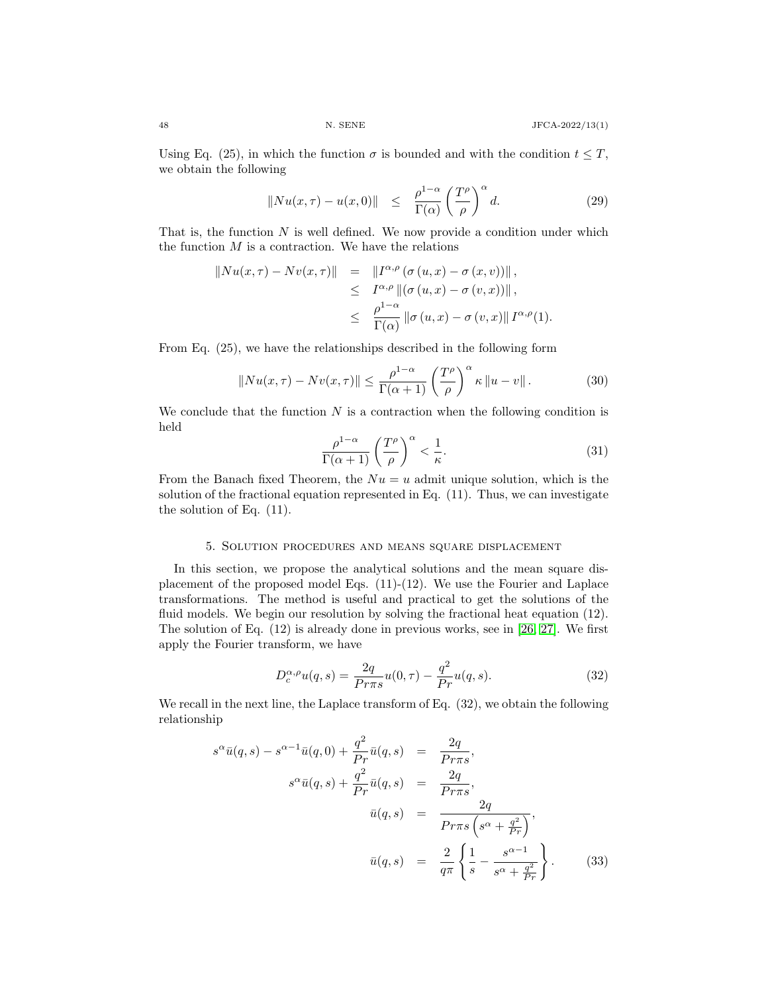Using Eq. (25), in which the function  $\sigma$  is bounded and with the condition  $t \leq T$ , we obtain the following

$$
||Nu(x,\tau) - u(x,0)|| \leq \frac{\rho^{1-\alpha}}{\Gamma(\alpha)} \left(\frac{T^{\rho}}{\rho}\right)^{\alpha} d. \tag{29}
$$

That is, the function  $N$  is well defined. We now provide a condition under which the function  $M$  is a contraction. We have the relations

$$
||Nu(x,\tau) - Nv(x,\tau)|| = ||I^{\alpha,\rho}(\sigma(u,x) - \sigma(x,v))||,
$$
  
\n
$$
\leq I^{\alpha,\rho} ||(\sigma(u,x) - \sigma(v,x))||,
$$
  
\n
$$
\leq \frac{\rho^{1-\alpha}}{\Gamma(\alpha)} ||\sigma(u,x) - \sigma(v,x)|| I^{\alpha,\rho}(1).
$$

From Eq. (25), we have the relationships described in the following form

$$
||Nu(x,\tau) - Nv(x,\tau)|| \le \frac{\rho^{1-\alpha}}{\Gamma(\alpha+1)} \left(\frac{T^{\rho}}{\rho}\right)^{\alpha} \kappa ||u - v||. \tag{30}
$$

We conclude that the function  $N$  is a contraction when the following condition is held

$$
\frac{\rho^{1-\alpha}}{\Gamma(\alpha+1)} \left(\frac{T^{\rho}}{\rho}\right)^{\alpha} < \frac{1}{\kappa}.\tag{31}
$$

From the Banach fixed Theorem, the  $Nu = u$  admit unique solution, which is the solution of the fractional equation represented in Eq. (11). Thus, we can investigate the solution of Eq. (11).

#### 5. Solution procedures and means square displacement

In this section, we propose the analytical solutions and the mean square displacement of the proposed model Eqs. (11)-(12). We use the Fourier and Laplace transformations. The method is useful and practical to get the solutions of the fluid models. We begin our resolution by solving the fractional heat equation (12). The solution of Eq. (12) is already done in previous works, see in [\[26,](#page-15-5) [27\]](#page-15-3). We first apply the Fourier transform, we have

$$
D_c^{\alpha,\rho}u(q,s) = \frac{2q}{Pr\pi s}u(0,\tau) - \frac{q^2}{Pr}u(q,s).
$$
 (32)

We recall in the next line, the Laplace transform of Eq. (32), we obtain the following relationship

$$
s^{\alpha} \bar{u}(q,s) - s^{\alpha - 1} \bar{u}(q,0) + \frac{q^2}{Pr} \bar{u}(q,s) = \frac{2q}{Pr\pi s},
$$
  
\n
$$
s^{\alpha} \bar{u}(q,s) + \frac{q^2}{Pr} \bar{u}(q,s) = \frac{2q}{Pr\pi s},
$$
  
\n
$$
\bar{u}(q,s) = \frac{2q}{Pr\pi s \left(s^{\alpha} + \frac{q^2}{Pr}\right)},
$$
  
\n
$$
\bar{u}(q,s) = \frac{2}{q\pi} \left\{\frac{1}{s} - \frac{s^{\alpha - 1}}{s^{\alpha} + \frac{q^2}{Pr}}\right\}.
$$
\n(33)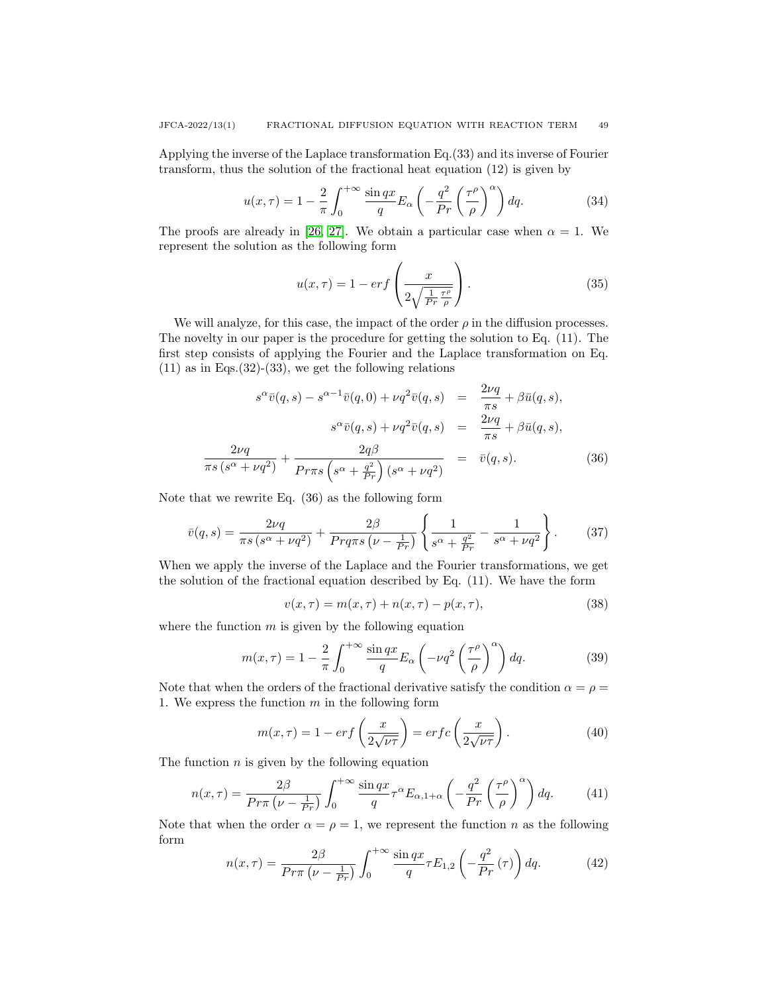Applying the inverse of the Laplace transformation Eq.(33) and its inverse of Fourier transform, thus the solution of the fractional heat equation (12) is given by

$$
u(x,\tau) = 1 - \frac{2}{\pi} \int_0^{+\infty} \frac{\sin qx}{q} E_\alpha \left( -\frac{q^2}{Pr} \left( \frac{\tau^\rho}{\rho} \right)^\alpha \right) dq. \tag{34}
$$

The proofs are already in [\[26,](#page-15-5) [27\]](#page-15-3). We obtain a particular case when  $\alpha = 1$ . We represent the solution as the following form

$$
u(x,\tau) = 1 - erf\left(\frac{x}{2\sqrt{\frac{1}{Pr}\frac{\tau^{\rho}}{\rho}}}\right).
$$
 (35)

We will analyze, for this case, the impact of the order  $\rho$  in the diffusion processes. The novelty in our paper is the procedure for getting the solution to Eq. (11). The first step consists of applying the Fourier and the Laplace transformation on Eq.  $(11)$  as in Eqs. $(32)-(33)$ , we get the following relations

$$
s^{\alpha}\bar{v}(q,s) - s^{\alpha-1}\bar{v}(q,0) + \nu q^2 \bar{v}(q,s) = \frac{2\nu q}{\pi s} + \beta \bar{u}(q,s),
$$

$$
s^{\alpha}\bar{v}(q,s) + \nu q^2 \bar{v}(q,s) = \frac{2\nu q}{\pi s} + \beta \bar{u}(q,s),
$$

$$
\frac{2\nu q}{\pi s (s^{\alpha} + \nu q^2)} + \frac{2q\beta}{Pr\pi s (s^{\alpha} + \frac{q^2}{Pr})(s^{\alpha} + \nu q^2)} = \bar{v}(q,s).
$$
(36)

Note that we rewrite Eq. (36) as the following form

$$
\bar{v}(q,s) = \frac{2\nu q}{\pi s \left(s^\alpha + \nu q^2\right)} + \frac{2\beta}{\Pr q \pi s \left(\nu - \frac{1}{\Pr}\right)} \left\{ \frac{1}{s^\alpha + \frac{q^2}{\Pr}} - \frac{1}{s^\alpha + \nu q^2} \right\}.
$$
 (37)

When we apply the inverse of the Laplace and the Fourier transformations, we get the solution of the fractional equation described by Eq. (11). We have the form

$$
v(x,\tau) = m(x,\tau) + n(x,\tau) - p(x,\tau),
$$
\n(38)

where the function  $m$  is given by the following equation

$$
m(x,\tau) = 1 - \frac{2}{\pi} \int_0^{+\infty} \frac{\sin qx}{q} E_\alpha \left( -\nu q^2 \left( \frac{\tau^\rho}{\rho} \right)^\alpha \right) dq. \tag{39}
$$

Note that when the orders of the fractional derivative satisfy the condition  $\alpha = \rho =$ 1. We express the function  $m$  in the following form

$$
m(x,\tau) = 1 - erf\left(\frac{x}{2\sqrt{\nu\tau}}\right) = erfc\left(\frac{x}{2\sqrt{\nu\tau}}\right). \tag{40}
$$

The function  $n$  is given by the following equation

$$
n(x,\tau) = \frac{2\beta}{Pr\pi\left(\nu - \frac{1}{Pr}\right)} \int_0^{+\infty} \frac{\sin qx}{q} \tau^{\alpha} E_{\alpha,1+\alpha} \left(-\frac{q^2}{Pr}\left(\frac{\tau^{\rho}}{\rho}\right)^{\alpha}\right) dq. \tag{41}
$$

Note that when the order  $\alpha = \rho = 1$ , we represent the function n as the following form

$$
n(x,\tau) = \frac{2\beta}{Pr\pi \left(\nu - \frac{1}{Pr}\right)} \int_0^{+\infty} \frac{\sin qx}{q} \tau E_{1,2} \left(-\frac{q^2}{Pr}(\tau)\right) dq.
$$
 (42)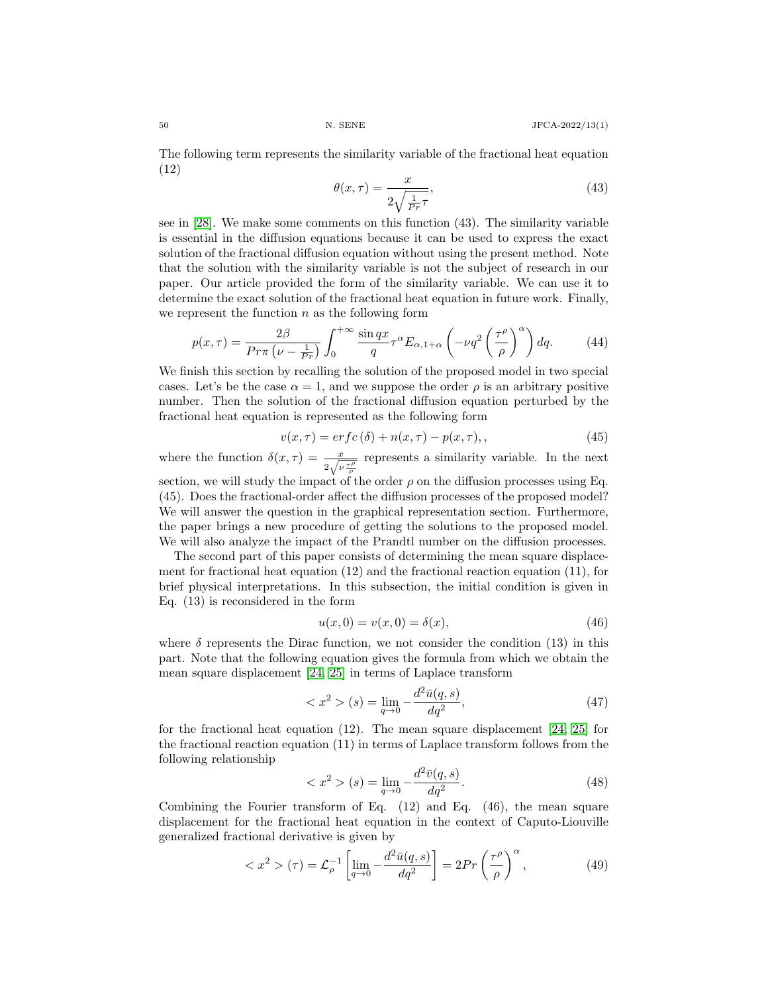The following term represents the similarity variable of the fractional heat equation (12)

$$
\theta(x,\tau) = \frac{x}{2\sqrt{\frac{1}{Pr}\tau}},\tag{43}
$$

see in [\[28\]](#page-15-6). We make some comments on this function (43). The similarity variable is essential in the diffusion equations because it can be used to express the exact solution of the fractional diffusion equation without using the present method. Note that the solution with the similarity variable is not the subject of research in our paper. Our article provided the form of the similarity variable. We can use it to determine the exact solution of the fractional heat equation in future work. Finally, we represent the function  $n$  as the following form

$$
p(x,\tau) = \frac{2\beta}{Pr\pi \left(\nu - \frac{1}{Pr}\right)} \int_0^{+\infty} \frac{\sin qx}{q} \tau^{\alpha} E_{\alpha,1+\alpha} \left(-\nu q^2 \left(\frac{\tau^{\rho}}{\rho}\right)^{\alpha}\right) dq. \tag{44}
$$

We finish this section by recalling the solution of the proposed model in two special cases. Let's be the case  $\alpha = 1$ , and we suppose the order  $\rho$  is an arbitrary positive number. Then the solution of the fractional diffusion equation perturbed by the fractional heat equation is represented as the following form

$$
v(x,\tau) = erfc(\delta) + n(x,\tau) - p(x,\tau),\qquad(45)
$$

where the function  $\delta(x,\tau) = \frac{x}{2\sqrt{\nu \frac{\tau \rho}{\rho}}}$  represents a similarity variable. In the next section, we will study the impact of the order  $\rho$  on the diffusion processes using Eq. (45). Does the fractional-order affect the diffusion processes of the proposed model? We will answer the question in the graphical representation section. Furthermore,

the paper brings a new procedure of getting the solutions to the proposed model. We will also analyze the impact of the Prandtl number on the diffusion processes. The second part of this paper consists of determining the mean square displace-

ment for fractional heat equation (12) and the fractional reaction equation (11), for brief physical interpretations. In this subsection, the initial condition is given in Eq. (13) is reconsidered in the form

$$
u(x,0) = v(x,0) = \delta(x),
$$
\n(46)

where  $\delta$  represents the Dirac function, we not consider the condition (13) in this part. Note that the following equation gives the formula from which we obtain the mean square displacement [\[24,](#page-14-0) [25\]](#page-15-1) in terms of Laplace transform

$$
\langle x^2 \rangle (s) = \lim_{q \to 0} -\frac{d^2 \bar{u}(q, s)}{dq^2}, \tag{47}
$$

for the fractional heat equation (12). The mean square displacement [\[24,](#page-14-0) [25\]](#page-15-1) for the fractional reaction equation (11) in terms of Laplace transform follows from the following relationship

$$
\langle x^2 \rangle (s) = \lim_{q \to 0} -\frac{d^2 \bar{v}(q, s)}{dq^2}.
$$
 (48)

Combining the Fourier transform of Eq.  $(12)$  and Eq.  $(46)$ , the mean square displacement for the fractional heat equation in the context of Caputo-Liouville generalized fractional derivative is given by

$$
\langle x^2 \rangle (\tau) = \mathcal{L}_{\rho}^{-1} \left[ \lim_{q \to 0} -\frac{d^2 \bar{u}(q, s)}{dq^2} \right] = 2Pr\left(\frac{\tau^{\rho}}{\rho}\right)^{\alpha},\tag{49}
$$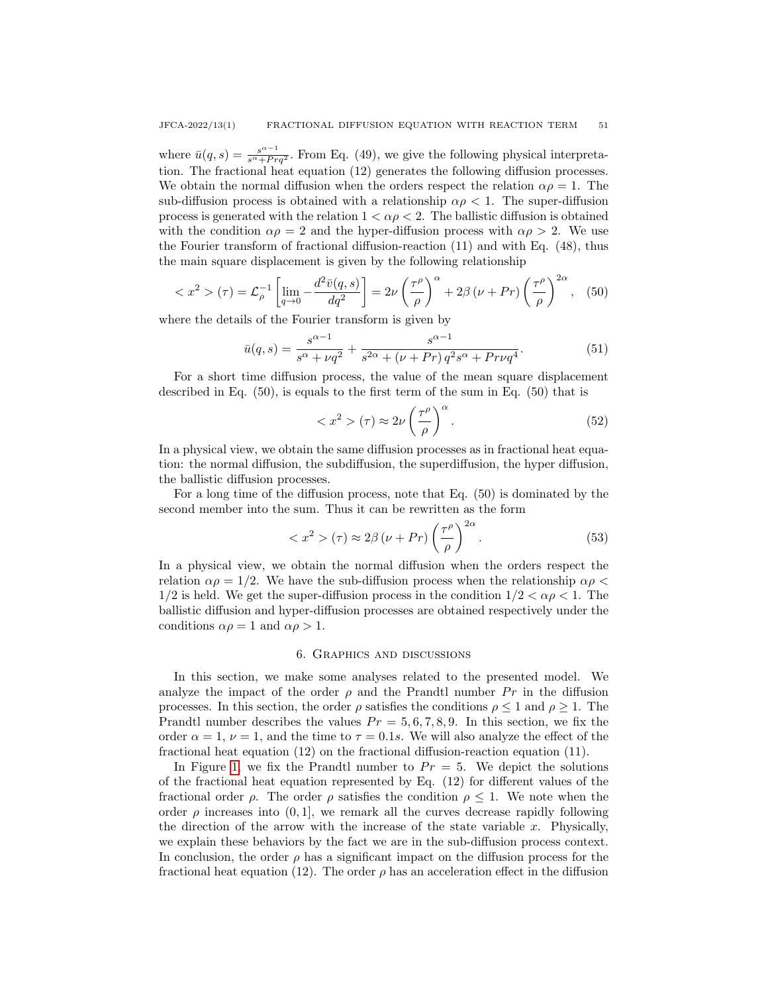where  $\bar{u}(q, s) = \frac{s^{\alpha-1}}{s^{\alpha}+Prq^2}$ . From Eq. (49), we give the following physical interpretation. The fractional heat equation (12) generates the following diffusion processes. We obtain the normal diffusion when the orders respect the relation  $\alpha \rho = 1$ . The sub-diffusion process is obtained with a relationship  $\alpha \rho < 1$ . The super-diffusion process is generated with the relation  $1 < \alpha \rho < 2$ . The ballistic diffusion is obtained with the condition  $\alpha \rho = 2$  and the hyper-diffusion process with  $\alpha \rho > 2$ . We use the Fourier transform of fractional diffusion-reaction (11) and with Eq. (48), thus the main square displacement is given by the following relationship

$$
\langle x^2 \rangle (\tau) = \mathcal{L}_{\rho}^{-1} \left[ \lim_{q \to 0} -\frac{d^2 \bar{v}(q, s)}{dq^2} \right] = 2\nu \left( \frac{\tau^{\rho}}{\rho} \right)^{\alpha} + 2\beta (\nu + Pr) \left( \frac{\tau^{\rho}}{\rho} \right)^{2\alpha}, \quad (50)
$$

where the details of the Fourier transform is given by

$$
\bar{u}(q,s) = \frac{s^{\alpha - 1}}{s^{\alpha} + \nu q^2} + \frac{s^{\alpha - 1}}{s^{2\alpha} + (\nu + Pr) q^2 s^{\alpha} + Pr \nu q^4}.
$$
\n(51)

For a short time diffusion process, the value of the mean square displacement described in Eq.  $(50)$ , is equals to the first term of the sum in Eq.  $(50)$  that is

$$
\langle x^2 \rangle (\tau) \approx 2\nu \left(\frac{\tau^{\rho}}{\rho}\right)^{\alpha}.\tag{52}
$$

In a physical view, we obtain the same diffusion processes as in fractional heat equation: the normal diffusion, the subdiffusion, the superdiffusion, the hyper diffusion, the ballistic diffusion processes.

For a long time of the diffusion process, note that Eq. (50) is dominated by the second member into the sum. Thus it can be rewritten as the form

$$
\langle x^2 \rangle (\tau) \approx 2\beta (\nu + Pr) \left(\frac{\tau^{\rho}}{\rho}\right)^{2\alpha}.
$$
 (53)

In a physical view, we obtain the normal diffusion when the orders respect the relation  $\alpha \rho = 1/2$ . We have the sub-diffusion process when the relationship  $\alpha \rho$  <  $1/2$  is held. We get the super-diffusion process in the condition  $1/2 < \alpha \rho < 1$ . The ballistic diffusion and hyper-diffusion processes are obtained respectively under the conditions  $\alpha \rho = 1$  and  $\alpha \rho > 1$ .

#### 6. Graphics and discussions

In this section, we make some analyses related to the presented model. We analyze the impact of the order  $\rho$  and the Prandtl number  $Pr$  in the diffusion processes. In this section, the order  $\rho$  satisfies the conditions  $\rho \leq 1$  and  $\rho \geq 1$ . The Prandtl number describes the values  $Pr = 5, 6, 7, 8, 9$ . In this section, we fix the order  $\alpha = 1$ ,  $\nu = 1$ , and the time to  $\tau = 0.1s$ . We will also analyze the effect of the fractional heat equation (12) on the fractional diffusion-reaction equation (11).

In Figure [1,](#page-10-0) we fix the Prandtl number to  $Pr = 5$ . We depict the solutions of the fractional heat equation represented by Eq. (12) for different values of the fractional order  $\rho$ . The order  $\rho$  satisfies the condition  $\rho \leq 1$ . We note when the order  $\rho$  increases into  $(0, 1]$ , we remark all the curves decrease rapidly following the direction of the arrow with the increase of the state variable  $x$ . Physically, we explain these behaviors by the fact we are in the sub-diffusion process context. In conclusion, the order  $\rho$  has a significant impact on the diffusion process for the fractional heat equation (12). The order  $\rho$  has an acceleration effect in the diffusion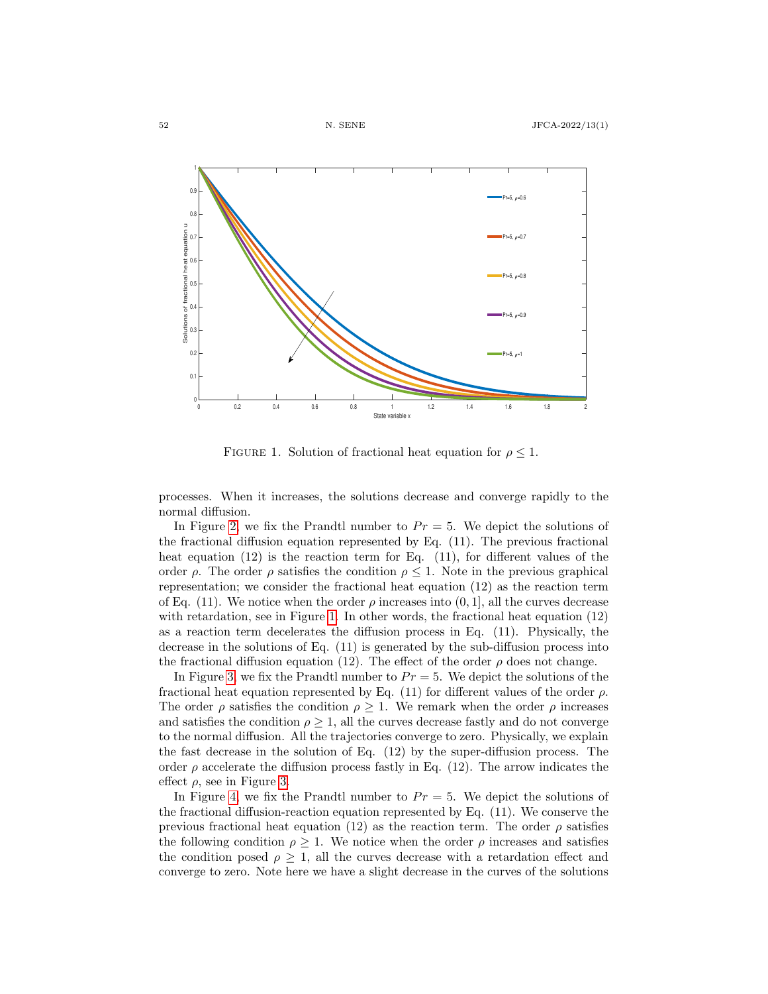<span id="page-10-0"></span>

FIGURE 1. Solution of fractional heat equation for  $\rho \leq 1$ .

processes. When it increases, the solutions decrease and converge rapidly to the normal diffusion.

In Figure [2,](#page-11-0) we fix the Prandtl number to  $Pr = 5$ . We depict the solutions of the fractional diffusion equation represented by Eq. (11). The previous fractional heat equation (12) is the reaction term for Eq. (11), for different values of the order  $\rho$ . The order  $\rho$  satisfies the condition  $\rho \leq 1$ . Note in the previous graphical representation; we consider the fractional heat equation (12) as the reaction term of Eq. (11). We notice when the order  $\rho$  increases into (0, 1), all the curves decrease with retardation, see in Figure [1.](#page-10-0) In other words, the fractional heat equation (12) as a reaction term decelerates the diffusion process in Eq. (11). Physically, the decrease in the solutions of Eq. (11) is generated by the sub-diffusion process into the fractional diffusion equation (12). The effect of the order  $\rho$  does not change.

In Figure [3,](#page-11-1) we fix the Prandtl number to  $Pr = 5$ . We depict the solutions of the fractional heat equation represented by Eq. (11) for different values of the order  $\rho$ . The order  $\rho$  satisfies the condition  $\rho \geq 1$ . We remark when the order  $\rho$  increases and satisfies the condition  $\rho \geq 1$ , all the curves decrease fastly and do not converge to the normal diffusion. All the trajectories converge to zero. Physically, we explain the fast decrease in the solution of Eq. (12) by the super-diffusion process. The order  $\rho$  accelerate the diffusion process fastly in Eq. (12). The arrow indicates the effect  $\rho$ , see in Figure [3.](#page-11-1)

In Figure [4,](#page-12-0) we fix the Prandtl number to  $Pr = 5$ . We depict the solutions of the fractional diffusion-reaction equation represented by Eq. (11). We conserve the previous fractional heat equation (12) as the reaction term. The order  $\rho$  satisfies the following condition  $\rho \geq 1$ . We notice when the order  $\rho$  increases and satisfies the condition posed  $\rho \geq 1$ , all the curves decrease with a retardation effect and converge to zero. Note here we have a slight decrease in the curves of the solutions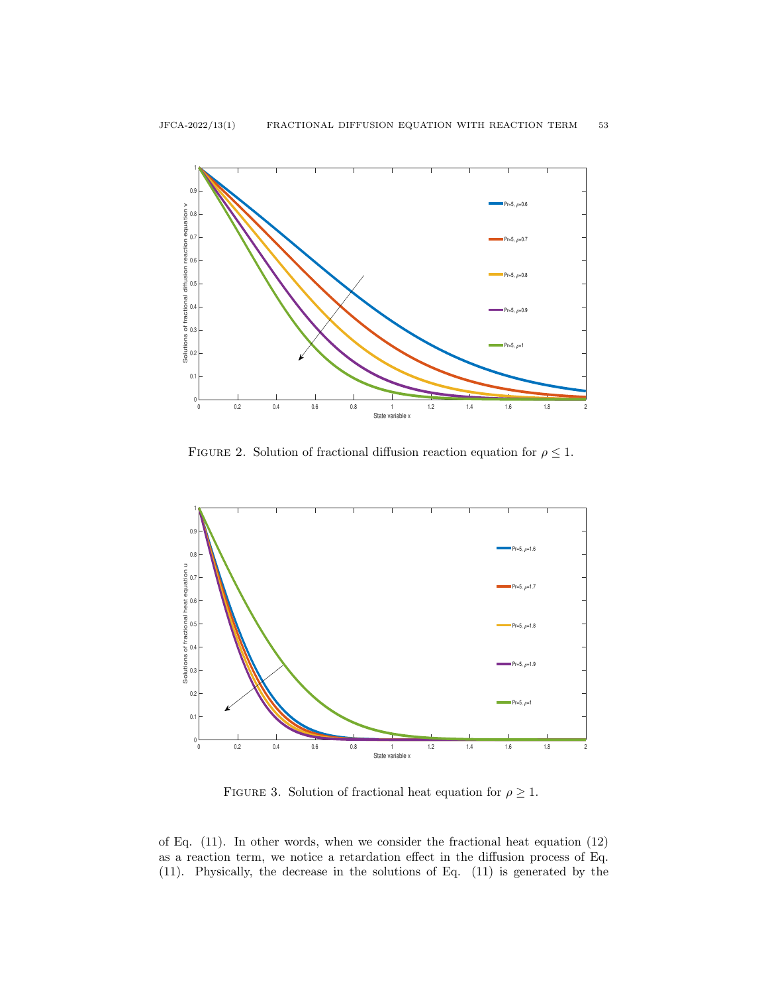<span id="page-11-0"></span>

FIGURE 2. Solution of fractional diffusion reaction equation for  $\rho \leq 1$ .

<span id="page-11-1"></span>

FIGURE 3. Solution of fractional heat equation for  $\rho \geq 1$ .

of Eq. (11). In other words, when we consider the fractional heat equation (12) as a reaction term, we notice a retardation effect in the diffusion process of Eq. (11). Physically, the decrease in the solutions of Eq. (11) is generated by the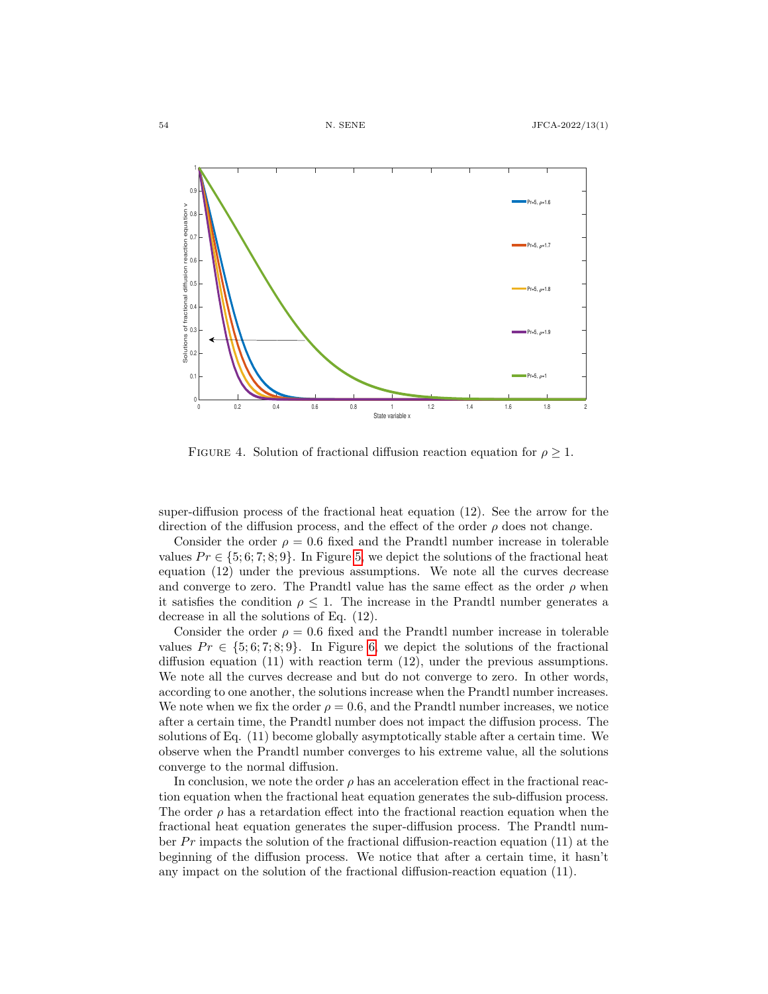<span id="page-12-0"></span>

FIGURE 4. Solution of fractional diffusion reaction equation for  $\rho \geq 1$ .

super-diffusion process of the fractional heat equation (12). See the arrow for the direction of the diffusion process, and the effect of the order  $\rho$  does not change.

Consider the order  $\rho = 0.6$  fixed and the Prandtl number increase in tolerable values  $Pr \in \{5, 6, 7, 8, 9\}$ . In Figure [5,](#page-13-0) we depict the solutions of the fractional heat equation (12) under the previous assumptions. We note all the curves decrease and converge to zero. The Prandtl value has the same effect as the order  $\rho$  when it satisfies the condition  $\rho \leq 1$ . The increase in the Prandtl number generates a decrease in all the solutions of Eq. (12).

Consider the order  $\rho = 0.6$  fixed and the Prandtl number increase in tolerable values  $Pr \in \{5, 6, 7, 8, 9\}$  $Pr \in \{5, 6, 7, 8, 9\}$  $Pr \in \{5, 6, 7, 8, 9\}$ . In Figure 6, we depict the solutions of the fractional diffusion equation (11) with reaction term (12), under the previous assumptions. We note all the curves decrease and but do not converge to zero. In other words, according to one another, the solutions increase when the Prandtl number increases. We note when we fix the order  $\rho = 0.6$ , and the Prandtl number increases, we notice after a certain time, the Prandtl number does not impact the diffusion process. The solutions of Eq. (11) become globally asymptotically stable after a certain time. We observe when the Prandtl number converges to his extreme value, all the solutions converge to the normal diffusion.

In conclusion, we note the order  $\rho$  has an acceleration effect in the fractional reaction equation when the fractional heat equation generates the sub-diffusion process. The order  $\rho$  has a retardation effect into the fractional reaction equation when the fractional heat equation generates the super-diffusion process. The Prandtl number  $Pr$  impacts the solution of the fractional diffusion-reaction equation (11) at the beginning of the diffusion process. We notice that after a certain time, it hasn't any impact on the solution of the fractional diffusion-reaction equation (11).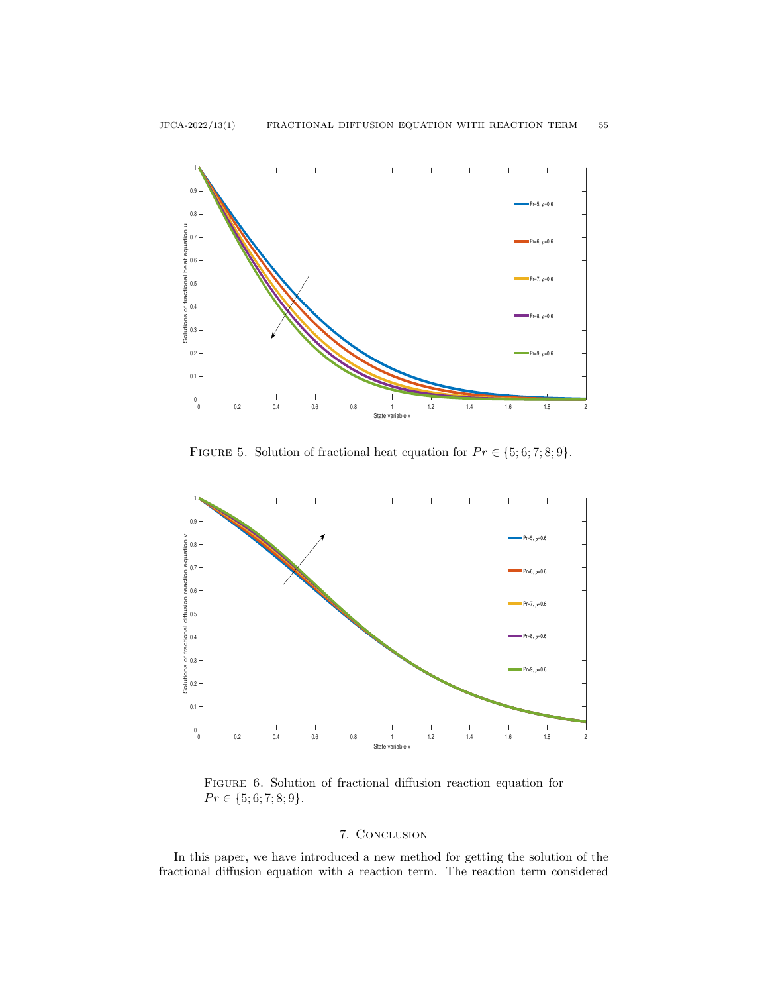<span id="page-13-0"></span>

FIGURE 5. Solution of fractional heat equation for  $Pr \in \{5, 6, 7, 8, 9\}.$ 

<span id="page-13-1"></span>

Figure 6. Solution of fractional diffusion reaction equation for  $Pr \in \{5; 6; 7; 8; 9\}.$ 

## 7. Conclusion

In this paper, we have introduced a new method for getting the solution of the fractional diffusion equation with a reaction term. The reaction term considered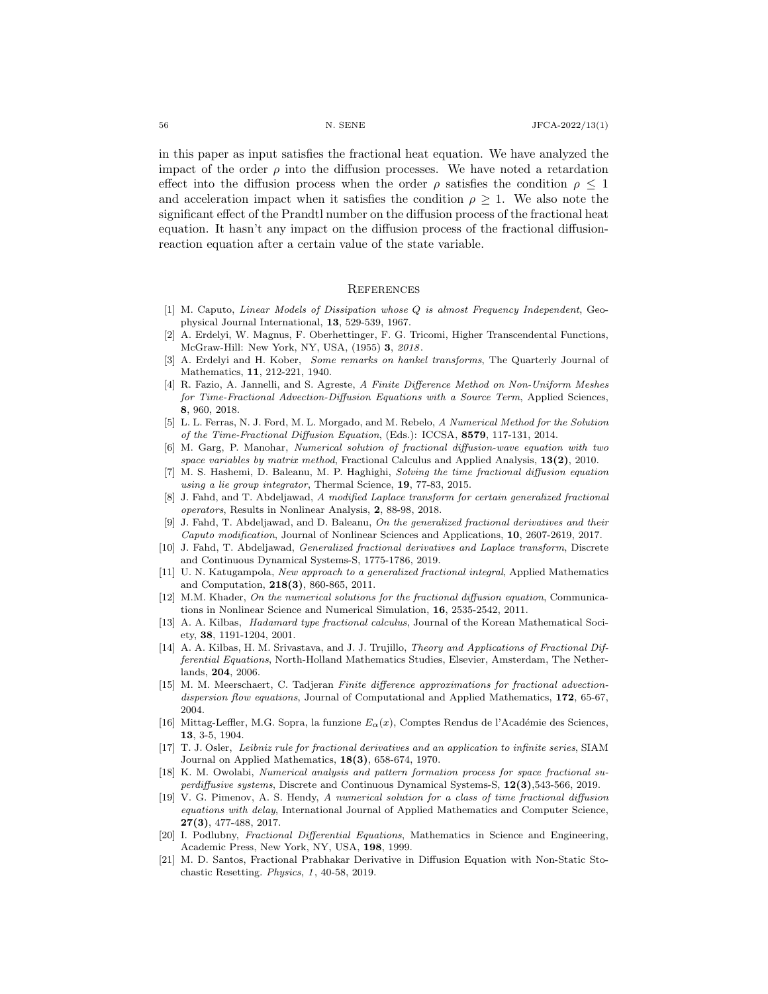in this paper as input satisfies the fractional heat equation. We have analyzed the impact of the order  $\rho$  into the diffusion processes. We have noted a retardation effect into the diffusion process when the order  $\rho$  satisfies the condition  $\rho \leq 1$ and acceleration impact when it satisfies the condition  $\rho \geq 1$ . We also note the significant effect of the Prandtl number on the diffusion process of the fractional heat equation. It hasn't any impact on the diffusion process of the fractional diffusionreaction equation after a certain value of the state variable.

#### **REFERENCES**

- <span id="page-14-9"></span>[1] M. Caputo, Linear Models of Dissipation whose Q is almost Frequency Independent, Geophysical Journal International, 13, 529-539, 1967.
- <span id="page-14-16"></span>[2] A. Erdelyi, W. Magnus, F. Oberhettinger, F. G. Tricomi, Higher Transcendental Functions, McGraw-Hill: New York, NY, USA, (1955) 3, 2018.
- <span id="page-14-14"></span>[3] A. Erdelyi and H. Kober, Some remarks on hankel transforms, The Quarterly Journal of Mathematics, 11, 212-221, 1940.
- <span id="page-14-2"></span>[4] R. Fazio, A. Jannelli, and S. Agreste, A Finite Difference Method on Non-Uniform Meshes for Time-Fractional Advection-Diffusion Equations with a Source Term, Applied Sciences, 8, 960, 2018.
- <span id="page-14-3"></span>[5] L. L. Ferras, N. J. Ford, M. L. Morgado, and M. Rebelo, A Numerical Method for the Solution of the Time-Fractional Diffusion Equation, (Eds.): ICCSA, 8579, 117-131, 2014.
- <span id="page-14-4"></span>[6] M. Garg, P. Manohar, Numerical solution of fractional diffusion-wave equation with two space variables by matrix method, Fractional Calculus and Applied Analysis,  $13(2)$ , 2010.
- <span id="page-14-5"></span>[7] M. S. Hashemi, D. Baleanu, M. P. Haghighi, Solving the time fractional diffusion equation using a lie group integrator, Thermal Science, 19, 77-83, 2015.
- <span id="page-14-12"></span>[8] J. Fahd, and T. Abdeljawad, A modified Laplace transform for certain generalized fractional operators, Results in Nonlinear Analysis, 2, 88-98, 2018.
- J. Fahd, T. Abdeljawad, and D. Baleanu, On the generalized fractional derivatives and their Caputo modification, Journal of Nonlinear Sciences and Applications, 10, 2607-2619, 2017.
- [10] J. Fahd, T. Abdeljawad, *Generalized fractional derivatives and Laplace transform*, Discrete and Continuous Dynamical Systems-S, 1775-1786, 2019.
- [11] U. N. Katugampola, New approach to a generalized fractional integral, Applied Mathematics and Computation, 218(3), 860-865, 2011.
- <span id="page-14-6"></span>[12] M.M. Khader, On the numerical solutions for the fractional diffusion equation, Communications in Nonlinear Science and Numerical Simulation, 16, 2535-2542, 2011.
- <span id="page-14-13"></span>[13] A. A. Kilbas, Hadamard type fractional calculus, Journal of the Korean Mathematical Society, 38, 1191-1204, 2001.
- <span id="page-14-10"></span>[14] A. A. Kilbas, H. M. Srivastava, and J. J. Trujillo, *Theory and Applications of Fractional Dif*ferential Equations, North-Holland Mathematics Studies, Elsevier, Amsterdam, The Netherlands, 204, 2006.
- <span id="page-14-7"></span>[15] M. M. Meerschaert, C. Tadjeran Finite difference approximations for fractional advectiondispersion flow equations, Journal of Computational and Applied Mathematics, 172, 65-67, 2004.
- <span id="page-14-17"></span>[16] Mittag-Leffler, M.G. Sopra, la funzione  $E_{\alpha}(x)$ , Comptes Rendus de l'Académie des Sciences, 13, 3-5, 1904.
- <span id="page-14-15"></span>[17] T. J. Osler, Leibniz rule for fractional derivatives and an application to infinite series, SIAM Journal on Applied Mathematics, 18(3), 658-674, 1970.
- <span id="page-14-1"></span>[18] K. M. Owolabi, Numerical analysis and pattern formation process for space fractional superdiffusive systems, Discrete and Continuous Dynamical Systems-S, 12(3),543-566, 2019.
- <span id="page-14-8"></span>[19] V. G. Pimenov, A. S. Hendy, A numerical solution for a class of time fractional diffusion equations with delay, International Journal of Applied Mathematics and Computer Science, 27(3), 477-488, 2017.
- <span id="page-14-11"></span>[20] I. Podlubny, Fractional Differential Equations, Mathematics in Science and Engineering, Academic Press, New York, NY, USA, 198, 1999.
- <span id="page-14-0"></span>[21] M. D. Santos, Fractional Prabhakar Derivative in Diffusion Equation with Non-Static Stochastic Resetting. Physics, 1, 40-58, 2019.